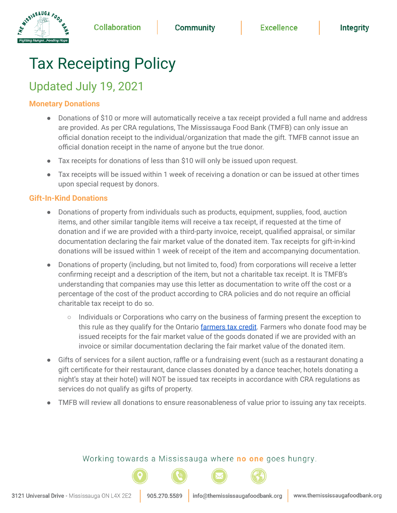# Tax Receipting Policy

# Updated July 19, 2021

# **Monetary Donations**

WISSISSAUGA FOOD

- Donations of \$10 or more will automatically receive a tax receipt provided a full name and address are provided. As per CRA regulations, The Mississauga Food Bank (TMFB) can only issue an official donation receipt to the individual/organization that made the gift. TMFB cannot issue an official donation receipt in the name of anyone but the true donor.
- Tax receipts for donations of less than \$10 will only be issued upon request.
- Tax receipts will be issued within 1 week of receiving a donation or can be issued at other times upon special request by donors.

#### **Gift-In-Kind Donations**

- Donations of property from individuals such as products, equipment, supplies, food, auction items, and other similar tangible items will receive a tax receipt, if requested at the time of donation and if we are provided with a third-party invoice, receipt, qualified appraisal, or similar documentation declaring the fair market value of the donated item. Tax receipts for gift-in-kind donations will be issued within 1 week of receipt of the item and accompanying documentation.
- Donations of property (including, but not limited to, food) from corporations will receive a letter confirming receipt and a description of the item, but not a charitable tax receipt. It is TMFB's understanding that companies may use this letter as documentation to write off the cost or a percentage of the cost of the product according to CRA policies and do not require an official charitable tax receipt to do so.
	- Individuals or Corporations who carry on the business of farming present the exception to this rule as they qualify for the Ontario [farmers](http://www.omafra.gov.on.ca/english/about/info-taxcredit.htm) tax credit. Farmers who donate food may be issued receipts for the fair market value of the goods donated if we are provided with an invoice or similar documentation declaring the fair market value of the donated item.
- Gifts of services for a silent auction, raffle or a fundraising event (such as a restaurant donating a gift certificate for their restaurant, dance classes donated by a dance teacher, hotels donating a night's stay at their hotel) will NOT be issued tax receipts in accordance with CRA regulations as services do not qualify as gifts of property.
- TMFB will review all donations to ensure reasonableness of value prior to issuing any tax receipts.

## Working towards a Mississauga where **no one** goes hungry.